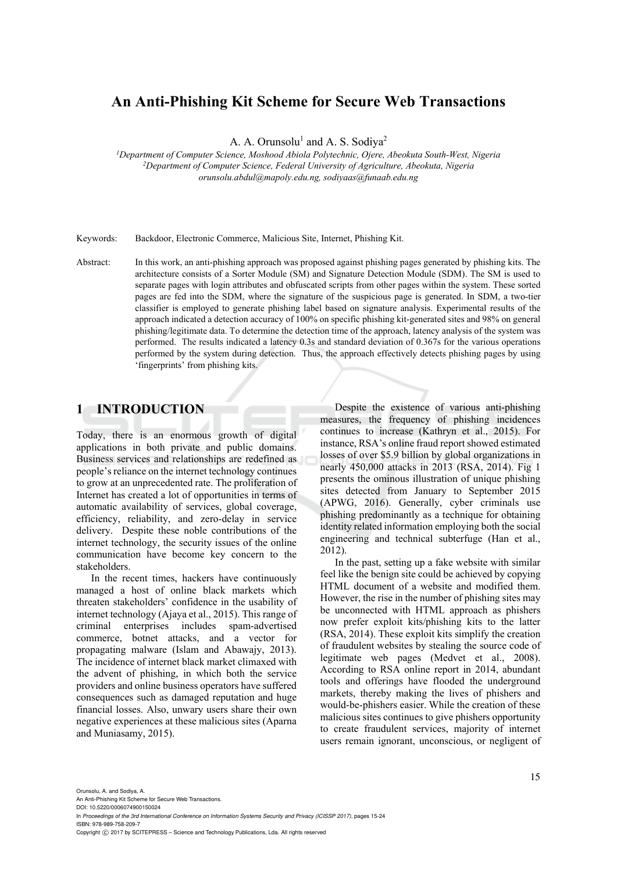# **An Anti-Phishing Kit Scheme for Secure Web Transactions**

A. A. Orunsolu<sup>1</sup> and A. S. Sodiya<sup>2</sup>

*1 Department of Computer Science, Moshood Abiola Polytechnic, Ojere, Abeokuta South-West, Nigeria 2Department of Computer Science, Federal University of Agriculture, Abeokuta, Nigeria orunsolu.abdul@mapoly.edu.ng, sodiyaas@funaab.edu.ng* 

Keywords: Backdoor, Electronic Commerce, Malicious Site, Internet, Phishing Kit.

Abstract: In this work, an anti-phishing approach was proposed against phishing pages generated by phishing kits. The architecture consists of a Sorter Module (SM) and Signature Detection Module (SDM). The SM is used to separate pages with login attributes and obfuscated scripts from other pages within the system. These sorted pages are fed into the SDM, where the signature of the suspicious page is generated. In SDM, a two-tier classifier is employed to generate phishing label based on signature analysis. Experimental results of the approach indicated a detection accuracy of 100% on specific phishing kit-generated sites and 98% on general phishing/legitimate data. To determine the detection time of the approach, latency analysis of the system was performed. The results indicated a latency 0.3s and standard deviation of 0.367s for the various operations performed by the system during detection. Thus, the approach effectively detects phishing pages by using 'fingerprints' from phishing kits.

# **1 INTRODUCTION**

Today, there is an enormous growth of digital applications in both private and public domains. Business services and relationships are redefined as people's reliance on the internet technology continues to grow at an unprecedented rate. The proliferation of Internet has created a lot of opportunities in terms of automatic availability of services, global coverage, efficiency, reliability, and zero-delay in service delivery. Despite these noble contributions of the internet technology, the security issues of the online communication have become key concern to the stakeholders.

In the recent times, hackers have continuously managed a host of online black markets which threaten stakeholders' confidence in the usability of internet technology (Ajaya et al., 2015). This range of criminal enterprises includes spam-advertised commerce, botnet attacks, and a vector for propagating malware (Islam and Abawajy, 2013). The incidence of internet black market climaxed with the advent of phishing, in which both the service providers and online business operators have suffered consequences such as damaged reputation and huge financial losses. Also, unwary users share their own negative experiences at these malicious sites (Aparna and Muniasamy, 2015).

Despite the existence of various anti-phishing measures, the frequency of phishing incidences continues to increase (Kathryn et al., 2015). For instance, RSA's online fraud report showed estimated losses of over \$5.9 billion by global organizations in nearly 450,000 attacks in 2013 (RSA, 2014). Fig 1 presents the ominous illustration of unique phishing sites detected from January to September 2015 (APWG, 2016). Generally, cyber criminals use phishing predominantly as a technique for obtaining identity related information employing both the social engineering and technical subterfuge (Han et al., 2012).

In the past, setting up a fake website with similar feel like the benign site could be achieved by copying HTML document of a website and modified them. However, the rise in the number of phishing sites may be unconnected with HTML approach as phishers now prefer exploit kits/phishing kits to the latter (RSA, 2014). These exploit kits simplify the creation of fraudulent websites by stealing the source code of legitimate web pages (Medvet et al., 2008). According to RSA online report in 2014, abundant tools and offerings have flooded the underground markets, thereby making the lives of phishers and would-be-phishers easier. While the creation of these malicious sites continues to give phishers opportunity to create fraudulent services, majority of internet users remain ignorant, unconscious, or negligent of

Orunsolu, A. and Sodiya, A. An Anti-Phishing Kit Scheme for Secure Web Transactions. DOI: 10.5220/0006074900150024 In *Proceedings of the 3rd International Conference on Information Systems Security and Privacy (ICISSP 2017)*, pages 15-24 ISBN: 978-989-758-209-7 Copyright (C) 2017 by SCITEPRESS - Science and Technology Publications, Lda. All rights reserved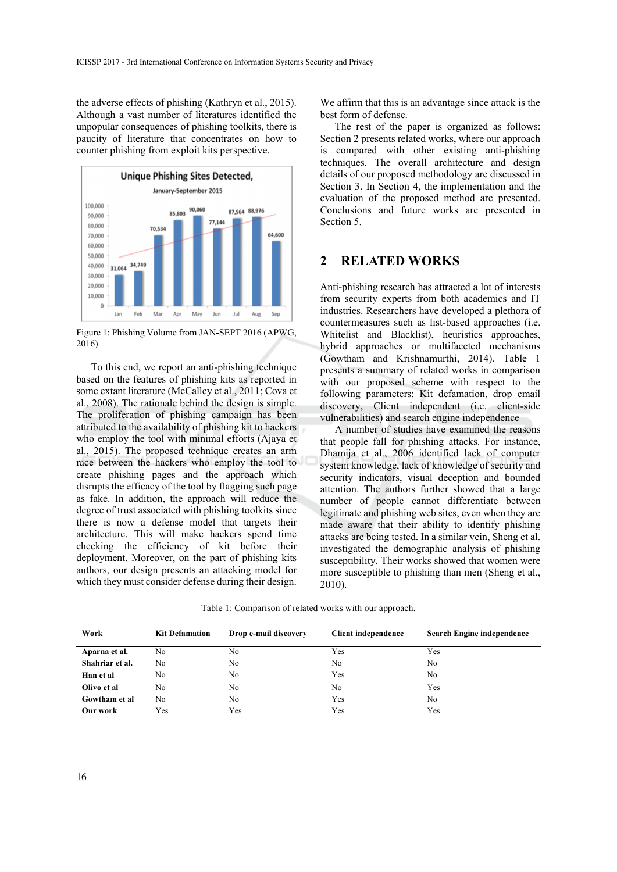the adverse effects of phishing (Kathryn et al., 2015). Although a vast number of literatures identified the unpopular consequences of phishing toolkits, there is paucity of literature that concentrates on how to counter phishing from exploit kits perspective.



Figure 1: Phishing Volume from JAN-SEPT 2016 (APWG, 2016).

To this end, we report an anti-phishing technique based on the features of phishing kits as reported in some extant literature (McCalley et al., 2011; Cova et al., 2008). The rationale behind the design is simple. The proliferation of phishing campaign has been attributed to the availability of phishing kit to hackers who employ the tool with minimal efforts (Ajaya et al., 2015). The proposed technique creates an arm race between the hackers who employ the tool to create phishing pages and the approach which disrupts the efficacy of the tool by flagging such page as fake. In addition, the approach will reduce the degree of trust associated with phishing toolkits since there is now a defense model that targets their architecture. This will make hackers spend time checking the efficiency of kit before their deployment. Moreover, on the part of phishing kits authors, our design presents an attacking model for which they must consider defense during their design.

We affirm that this is an advantage since attack is the best form of defense.

The rest of the paper is organized as follows: Section 2 presents related works, where our approach is compared with other existing anti-phishing techniques. The overall architecture and design details of our proposed methodology are discussed in Section 3. In Section 4, the implementation and the evaluation of the proposed method are presented. Conclusions and future works are presented in Section 5.

### **2 RELATED WORKS**

Anti-phishing research has attracted a lot of interests from security experts from both academics and IT industries. Researchers have developed a plethora of countermeasures such as list-based approaches (i.e. Whitelist and Blacklist), heuristics approaches, hybrid approaches or multifaceted mechanisms (Gowtham and Krishnamurthi, 2014). Table 1 presents a summary of related works in comparison with our proposed scheme with respect to the following parameters: Kit defamation, drop email discovery, Client independent (i.e. client-side vulnerabilities) and search engine independence

A number of studies have examined the reasons that people fall for phishing attacks. For instance, Dhamija et al., 2006 identified lack of computer system knowledge, lack of knowledge of security and security indicators, visual deception and bounded attention. The authors further showed that a large number of people cannot differentiate between legitimate and phishing web sites, even when they are made aware that their ability to identify phishing attacks are being tested. In a similar vein, Sheng et al. investigated the demographic analysis of phishing susceptibility. Their works showed that women were more susceptible to phishing than men (Sheng et al., 2010).

Table 1: Comparison of related works with our approach.

| Work            | <b>Kit Defamation</b> | Drop e-mail discovery | <b>Client independence</b> | <b>Search Engine independence</b> |
|-----------------|-----------------------|-----------------------|----------------------------|-----------------------------------|
| Aparna et al.   | No                    | No                    | Yes                        | Yes                               |
| Shahriar et al. | No                    | No.                   | No                         | No.                               |
| Han et al       | No                    | No                    | Yes                        | N <sub>0</sub>                    |
| Olivo et al     | No                    | No                    | N <sub>0</sub>             | Yes                               |
| Gowtham et al   | No                    | No                    | Yes                        | N <sub>0</sub>                    |
| Our work        | Yes                   | Yes                   | Yes                        | Yes                               |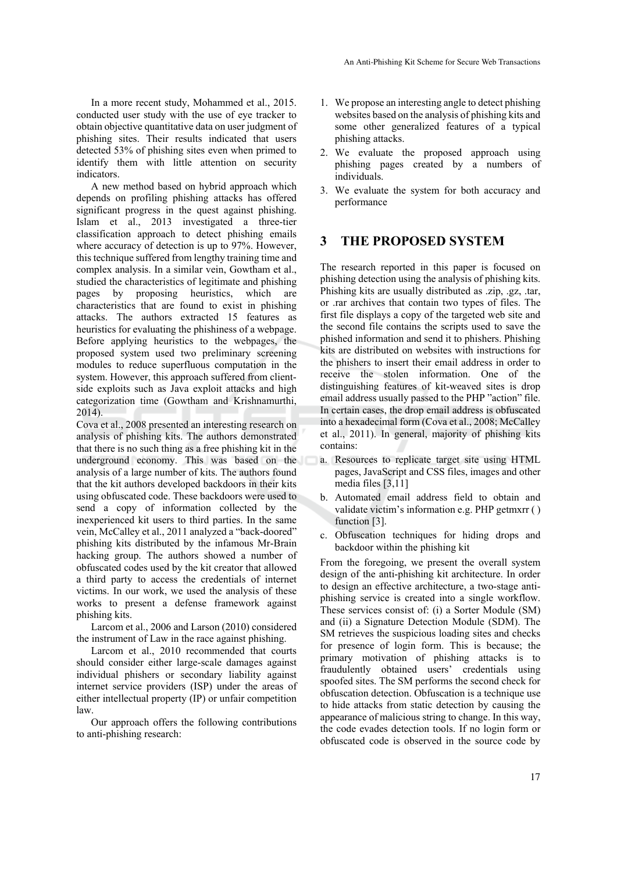In a more recent study, Mohammed et al., 2015. conducted user study with the use of eye tracker to obtain objective quantitative data on user judgment of phishing sites. Their results indicated that users detected 53% of phishing sites even when primed to identify them with little attention on security indicators.

A new method based on hybrid approach which depends on profiling phishing attacks has offered significant progress in the quest against phishing. Islam et al., 2013 investigated a three-tier classification approach to detect phishing emails where accuracy of detection is up to 97%. However, this technique suffered from lengthy training time and complex analysis. In a similar vein, Gowtham et al., studied the characteristics of legitimate and phishing pages by proposing heuristics, which are characteristics that are found to exist in phishing attacks. The authors extracted 15 features as heuristics for evaluating the phishiness of a webpage. Before applying heuristics to the webpages, the proposed system used two preliminary screening modules to reduce superfluous computation in the system. However, this approach suffered from clientside exploits such as Java exploit attacks and high categorization time (Gowtham and Krishnamurthi, 2014).

Cova et al., 2008 presented an interesting research on analysis of phishing kits. The authors demonstrated that there is no such thing as a free phishing kit in the underground economy. This was based on the analysis of a large number of kits. The authors found that the kit authors developed backdoors in their kits using obfuscated code. These backdoors were used to send a copy of information collected by the inexperienced kit users to third parties. In the same vein, McCalley et al., 2011 analyzed a "back-doored" phishing kits distributed by the infamous Mr-Brain hacking group. The authors showed a number of obfuscated codes used by the kit creator that allowed a third party to access the credentials of internet victims. In our work, we used the analysis of these works to present a defense framework against phishing kits.

Larcom et al., 2006 and Larson (2010) considered the instrument of Law in the race against phishing.

Larcom et al., 2010 recommended that courts should consider either large-scale damages against individual phishers or secondary liability against internet service providers (ISP) under the areas of either intellectual property (IP) or unfair competition law.

Our approach offers the following contributions to anti-phishing research:

- 1. We propose an interesting angle to detect phishing websites based on the analysis of phishing kits and some other generalized features of a typical phishing attacks.
- 2. We evaluate the proposed approach using phishing pages created by a numbers of individuals.
- 3. We evaluate the system for both accuracy and performance

## **3 THE PROPOSED SYSTEM**

The research reported in this paper is focused on phishing detection using the analysis of phishing kits. Phishing kits are usually distributed as .zip, .gz, .tar, or .rar archives that contain two types of files. The first file displays a copy of the targeted web site and the second file contains the scripts used to save the phished information and send it to phishers. Phishing kits are distributed on websites with instructions for the phishers to insert their email address in order to receive the stolen information. One of the distinguishing features of kit-weaved sites is drop email address usually passed to the PHP "action" file. In certain cases, the drop email address is obfuscated into a hexadecimal form (Cova et al., 2008; McCalley et al., 2011). In general, majority of phishing kits contains:

- a. Resources to replicate target site using HTML pages, JavaScript and CSS files, images and other media files [3,11]
- b. Automated email address field to obtain and validate victim's information e.g. PHP getmxrr ( ) function [3].
- c. Obfuscation techniques for hiding drops and backdoor within the phishing kit

From the foregoing, we present the overall system design of the anti-phishing kit architecture. In order to design an effective architecture, a two-stage antiphishing service is created into a single workflow. These services consist of: (i) a Sorter Module (SM) and (ii) a Signature Detection Module (SDM). The SM retrieves the suspicious loading sites and checks for presence of login form. This is because; the primary motivation of phishing attacks is to fraudulently obtained users' credentials using spoofed sites. The SM performs the second check for obfuscation detection. Obfuscation is a technique use to hide attacks from static detection by causing the appearance of malicious string to change. In this way, the code evades detection tools. If no login form or obfuscated code is observed in the source code by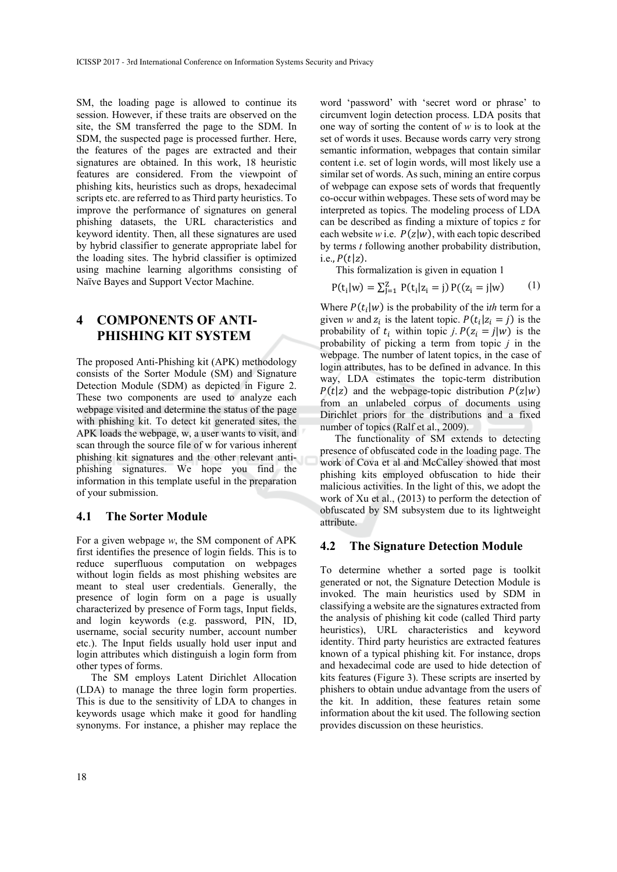SM, the loading page is allowed to continue its session. However, if these traits are observed on the site, the SM transferred the page to the SDM. In SDM, the suspected page is processed further. Here, the features of the pages are extracted and their signatures are obtained. In this work, 18 heuristic features are considered. From the viewpoint of phishing kits, heuristics such as drops, hexadecimal scripts etc. are referred to as Third party heuristics. To improve the performance of signatures on general phishing datasets, the URL characteristics and keyword identity. Then, all these signatures are used by hybrid classifier to generate appropriate label for the loading sites. The hybrid classifier is optimized using machine learning algorithms consisting of Naïve Bayes and Support Vector Machine.

# **4 COMPONENTS OF ANTI-PHISHING KIT SYSTEM**

The proposed Anti-Phishing kit (APK) methodology consists of the Sorter Module (SM) and Signature Detection Module (SDM) as depicted in Figure 2. These two components are used to analyze each webpage visited and determine the status of the page with phishing kit. To detect kit generated sites, the APK loads the webpage, w, a user wants to visit, and scan through the source file of w for various inherent phishing kit signatures and the other relevant antiphishing signatures. We hope you find the information in this template useful in the preparation of your submission.

#### **4.1 The Sorter Module**

For a given webpage *w*, the SM component of APK first identifies the presence of login fields. This is to reduce superfluous computation on webpages without login fields as most phishing websites are meant to steal user credentials. Generally, the presence of login form on a page is usually characterized by presence of Form tags, Input fields, and login keywords (e.g. password, PIN, ID, username, social security number, account number etc.). The Input fields usually hold user input and login attributes which distinguish a login form from other types of forms.

The SM employs Latent Dirichlet Allocation (LDA) to manage the three login form properties. This is due to the sensitivity of LDA to changes in keywords usage which make it good for handling synonyms. For instance, a phisher may replace the

word 'password' with 'secret word or phrase' to circumvent login detection process. LDA posits that one way of sorting the content of *w* is to look at the set of words it uses. Because words carry very strong semantic information, webpages that contain similar content i.e. set of login words, will most likely use a similar set of words. As such, mining an entire corpus of webpage can expose sets of words that frequently co-occur within webpages. These sets of word may be interpreted as topics. The modeling process of LDA can be described as finding a mixture of topics *z* for each website *w* i.e.  $P(z|w)$ , with each topic described by terms *t* following another probability distribution,  $i.e., P(t|z).$ 

This formalization is given in equation 1

$$
P(t_i|w) = \sum_{j=1}^{Z} P(t_i|z_i = j) P((z_i = j|w)
$$
 (1)

Where  $P(t_i|w)$  is the probability of the *ith* term for a given *w* and  $z_i$  is the latent topic.  $P(t_i | z_i = j)$  is the probability of  $t_i$  within topic  $j$ .  $P(z_i = j | w)$  is the probability of picking a term from topic *j* in the webpage. The number of latent topics, in the case of login attributes, has to be defined in advance. In this way, LDA estimates the topic-term distribution  $P(t|z)$  and the webpage-topic distribution  $P(z|w)$ from an unlabeled corpus of documents using Dirichlet priors for the distributions and a fixed number of topics (Ralf et al., 2009).

The functionality of SM extends to detecting presence of obfuscated code in the loading page. The work of Cova et al and McCalley showed that most phishing kits employed obfuscation to hide their malicious activities. In the light of this, we adopt the work of Xu et al., (2013) to perform the detection of obfuscated by SM subsystem due to its lightweight attribute.

#### **4.2 The Signature Detection Module**

To determine whether a sorted page is toolkit generated or not, the Signature Detection Module is invoked. The main heuristics used by SDM in classifying a website are the signatures extracted from the analysis of phishing kit code (called Third party heuristics), URL characteristics and keyword identity. Third party heuristics are extracted features known of a typical phishing kit. For instance, drops and hexadecimal code are used to hide detection of kits features (Figure 3). These scripts are inserted by phishers to obtain undue advantage from the users of the kit. In addition, these features retain some information about the kit used. The following section provides discussion on these heuristics.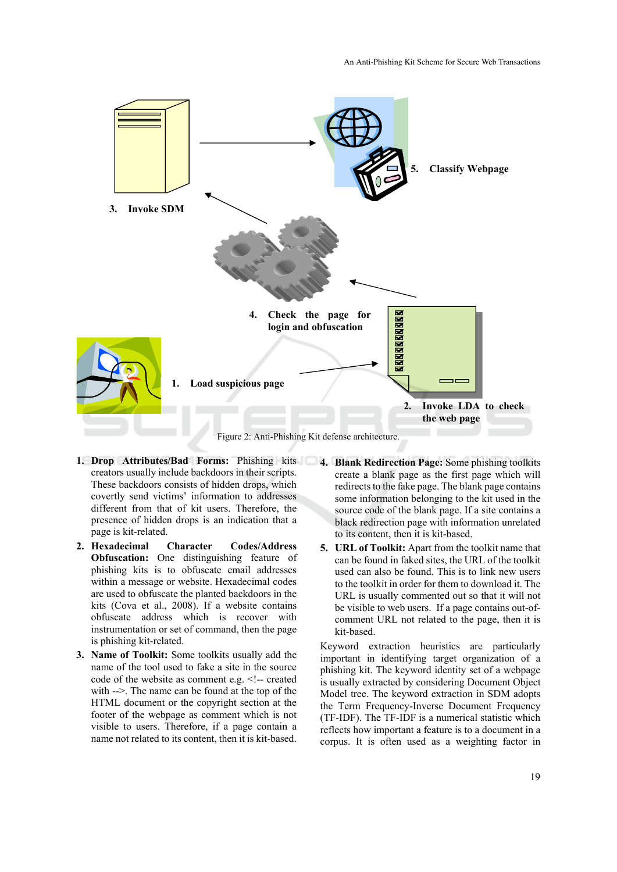

Figure 2: Anti-Phishing Kit defense architecture.

- **1. Drop Attributes/Bad Forms:** Phishing kits **4. Blank Redirection Page:** Some phishing toolkits creators usually include backdoors in their scripts. These backdoors consists of hidden drops, which covertly send victims' information to addresses different from that of kit users. Therefore, the presence of hidden drops is an indication that a page is kit-related.
- **2. Hexadecimal Character Codes/Address Obfuscation:** One distinguishing feature of phishing kits is to obfuscate email addresses within a message or website. Hexadecimal codes are used to obfuscate the planted backdoors in the kits (Cova et al., 2008). If a website contains obfuscate address which is recover with instrumentation or set of command, then the page is phishing kit-related.
- **3. Name of Toolkit:** Some toolkits usually add the name of the tool used to fake a site in the source code of the website as comment e.g. <!-- created with  $\rightarrow$ . The name can be found at the top of the HTML document or the copyright section at the footer of the webpage as comment which is not visible to users. Therefore, if a page contain a name not related to its content, then it is kit-based.
- create a blank page as the first page which will redirects to the fake page. The blank page contains some information belonging to the kit used in the source code of the blank page. If a site contains a black redirection page with information unrelated to its content, then it is kit-based.
- **5. URL of Toolkit:** Apart from the toolkit name that can be found in faked sites, the URL of the toolkit used can also be found. This is to link new users to the toolkit in order for them to download it. The URL is usually commented out so that it will not be visible to web users. If a page contains out-ofcomment URL not related to the page, then it is kit-based.

Keyword extraction heuristics are particularly important in identifying target organization of a phishing kit. The keyword identity set of a webpage is usually extracted by considering Document Object Model tree. The keyword extraction in SDM adopts the Term Frequency-Inverse Document Frequency (TF-IDF). The TF-IDF is a numerical statistic which reflects how important a feature is to a document in a corpus. It is often used as a weighting factor in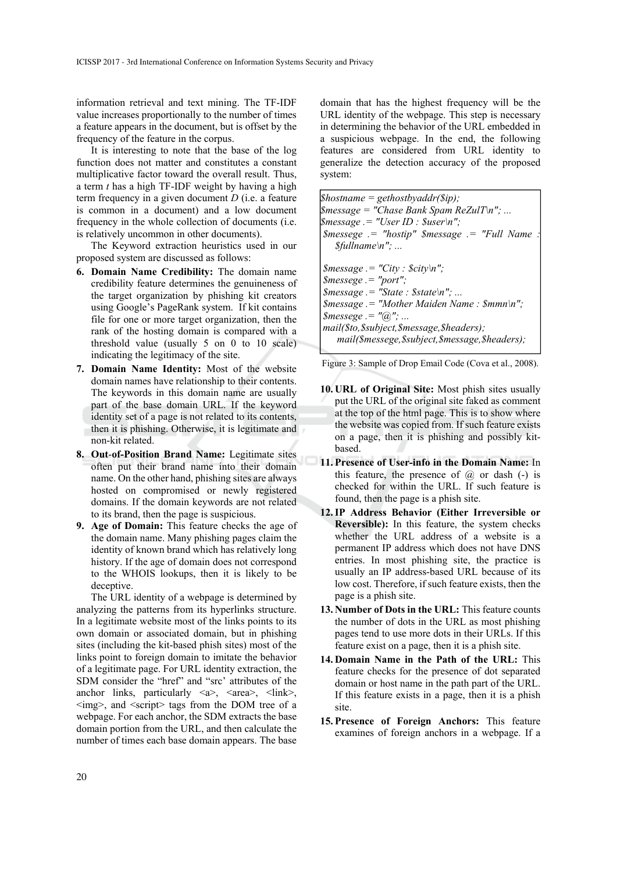information retrieval and text mining. The TF-IDF value increases proportionally to the number of times a feature appears in the document, but is offset by the frequency of the feature in the corpus.

It is interesting to note that the base of the log function does not matter and constitutes a constant multiplicative factor toward the overall result. Thus, a term *t* has a high TF-IDF weight by having a high term frequency in a given document *D* (i.e. a feature is common in a document) and a low document frequency in the whole collection of documents (i.e. is relatively uncommon in other documents).

The Keyword extraction heuristics used in our proposed system are discussed as follows:

- **6. Domain Name Credibility:** The domain name credibility feature determines the genuineness of the target organization by phishing kit creators using Google's PageRank system. If kit contains file for one or more target organization, then the rank of the hosting domain is compared with a threshold value (usually 5 on 0 to 10 scale) indicating the legitimacy of the site.
- **7. Domain Name Identity:** Most of the website domain names have relationship to their contents. The keywords in this domain name are usually part of the base domain URL. If the keyword identity set of a page is not related to its contents, then it is phishing. Otherwise, it is legitimate and non-kit related.
- **8. Out**-**of-Position Brand Name:** Legitimate sites often put their brand name into their domain name. On the other hand, phishing sites are always hosted on compromised or newly registered domains. If the domain keywords are not related to its brand, then the page is suspicious.
- **9. Age of Domain:** This feature checks the age of the domain name. Many phishing pages claim the identity of known brand which has relatively long history. If the age of domain does not correspond to the WHOIS lookups, then it is likely to be deceptive.

The URL identity of a webpage is determined by analyzing the patterns from its hyperlinks structure. In a legitimate website most of the links points to its own domain or associated domain, but in phishing sites (including the kit-based phish sites) most of the links point to foreign domain to imitate the behavior of a legitimate page. For URL identity extraction, the SDM consider the "href" and "src' attributes of the anchor links, particularly  $\langle a \rangle$ ,  $\langle area \rangle$ ,  $\langle link \rangle$ ,  $\langle \text{img}\rangle$ , and  $\langle \text{script} \rangle$  tags from the DOM tree of a webpage. For each anchor, the SDM extracts the base domain portion from the URL, and then calculate the number of times each base domain appears. The base

domain that has the highest frequency will be the URL identity of the webpage. This step is necessary in determining the behavior of the URL embedded in a suspicious webpage. In the end, the following features are considered from URL identity to generalize the detection accuracy of the proposed system:

*\$hostname = gethostbyaddr(\$ip); \$message = "Chase Bank Spam ReZulT\n"; ... \$message .= "User ID : \$user\n"; \$messege .= "hostip" \$message .= "Full Name : \$fullname\n"; ... \$message .= "City : \$city\n"; \$messege .= "port";*   $\mathcal{S}$ *message .= "State :*  $\mathcal{S}$ *state\n"; ... \$message .= "Mother Maiden Name : \$mmn\n"; \$messege .= "@"; ... mail(\$to,\$subject,\$message,\$headers); mail(\$messege,\$subject,\$message,\$headers);* 

Figure 3: Sample of Drop Email Code (Cova et al., 2008).

- **10. URL of Original Site:** Most phish sites usually put the URL of the original site faked as comment at the top of the html page. This is to show where the website was copied from. If such feature exists on a page, then it is phishing and possibly kitbased.
- **11. Presence of User-info in the Domain Name:** In this feature, the presence of  $\omega$  or dash  $(-)$  is checked for within the URL. If such feature is found, then the page is a phish site.
- **12.IP Address Behavior (Either Irreversible or Reversible):** In this feature, the system checks whether the URL address of a website is a permanent IP address which does not have DNS entries. In most phishing site, the practice is usually an IP address-based URL because of its low cost. Therefore, if such feature exists, then the page is a phish site.
- **13. Number of Dots in the URL:** This feature counts the number of dots in the URL as most phishing pages tend to use more dots in their URLs. If this feature exist on a page, then it is a phish site.
- **14. Domain Name in the Path of the URL:** This feature checks for the presence of dot separated domain or host name in the path part of the URL. If this feature exists in a page, then it is a phish site.
- **15. Presence of Foreign Anchors:** This feature examines of foreign anchors in a webpage. If a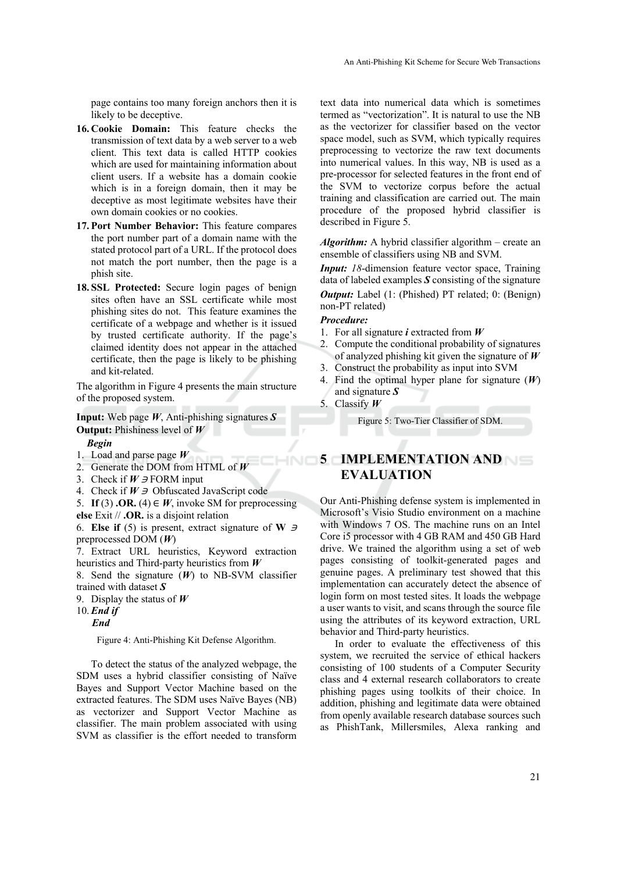page contains too many foreign anchors then it is likely to be deceptive.

- **16. Cookie Domain:** This feature checks the transmission of text data by a web server to a web client. This text data is called HTTP cookies which are used for maintaining information about client users. If a website has a domain cookie which is in a foreign domain, then it may be deceptive as most legitimate websites have their own domain cookies or no cookies.
- **17. Port Number Behavior:** This feature compares the port number part of a domain name with the stated protocol part of a URL. If the protocol does not match the port number, then the page is a phish site.
- **18. SSL Protected:** Secure login pages of benign sites often have an SSL certificate while most phishing sites do not. This feature examines the certificate of a webpage and whether is it issued by trusted certificate authority. If the page's claimed identity does not appear in the attached certificate, then the page is likely to be phishing and kit-related.

The algorithm in Figure 4 presents the main structure of the proposed system.

**Input:** Web page *W*, Anti-phishing signatures *S* **Output:** Phishiness level of *W*

- *Begin*
- 1. Load and parse page *W*
- 2. Generate the DOM from HTML of *W*
- 3. Check if  $W \ni PORM$  input
- 4. Check if  $W \ni$  Obfuscated JavaScript code
- 5. **If** (3) **.OR.** (4)  $\in$  *W*, invoke SM for preprocessing
- **else** Exit // **.OR.** is a disjoint relation

6. **Else if** (5) is present, extract signature of **W**  $\Rightarrow$ preprocessed DOM (*W*)

7. Extract URL heuristics, Keyword extraction heuristics and Third-party heuristics from *W*

8. Send the signature (*W*) to NB-SVM classifier trained with dataset *S* 

9. Display the status of *W*

10. *End if*

*End* 

Figure 4: Anti-Phishing Kit Defense Algorithm.

To detect the status of the analyzed webpage, the SDM uses a hybrid classifier consisting of Naïve Bayes and Support Vector Machine based on the extracted features. The SDM uses Naïve Bayes (NB) as vectorizer and Support Vector Machine as classifier. The main problem associated with using SVM as classifier is the effort needed to transform

text data into numerical data which is sometimes termed as "vectorization". It is natural to use the NB as the vectorizer for classifier based on the vector space model, such as SVM, which typically requires preprocessing to vectorize the raw text documents into numerical values. In this way, NB is used as a pre-processor for selected features in the front end of the SVM to vectorize corpus before the actual training and classification are carried out. The main procedure of the proposed hybrid classifier is described in Figure 5.

*Algorithm:* A hybrid classifier algorithm – create an ensemble of classifiers using NB and SVM.

*Input: 18*-dimension feature vector space, Training data of labeled examples *S* consisting of the signature

*Output:* Label (1: (Phished) PT related; 0: (Benign) non-PT related)

#### *Procedure:*

- 1. For all signature *i* extracted from *W*
- 2. Compute the conditional probability of signatures of analyzed phishing kit given the signature of *W*
- 3. Construct the probability as input into SVM
- 4. Find the optimal hyper plane for signature (*W*) and signature *S*
- 5. Classify *W*

Figure 5: Two-Tier Classifier of SDM.

# **5 IMPLEMENTATION AND EVALUATION**

Our Anti-Phishing defense system is implemented in Microsoft's Visio Studio environment on a machine with Windows 7 OS. The machine runs on an Intel Core i5 processor with 4 GB RAM and 450 GB Hard drive. We trained the algorithm using a set of web pages consisting of toolkit-generated pages and genuine pages. A preliminary test showed that this implementation can accurately detect the absence of login form on most tested sites. It loads the webpage a user wants to visit, and scans through the source file using the attributes of its keyword extraction, URL behavior and Third-party heuristics.

In order to evaluate the effectiveness of this system, we recruited the service of ethical hackers consisting of 100 students of a Computer Security class and 4 external research collaborators to create phishing pages using toolkits of their choice. In addition, phishing and legitimate data were obtained from openly available research database sources such as PhishTank, Millersmiles, Alexa ranking and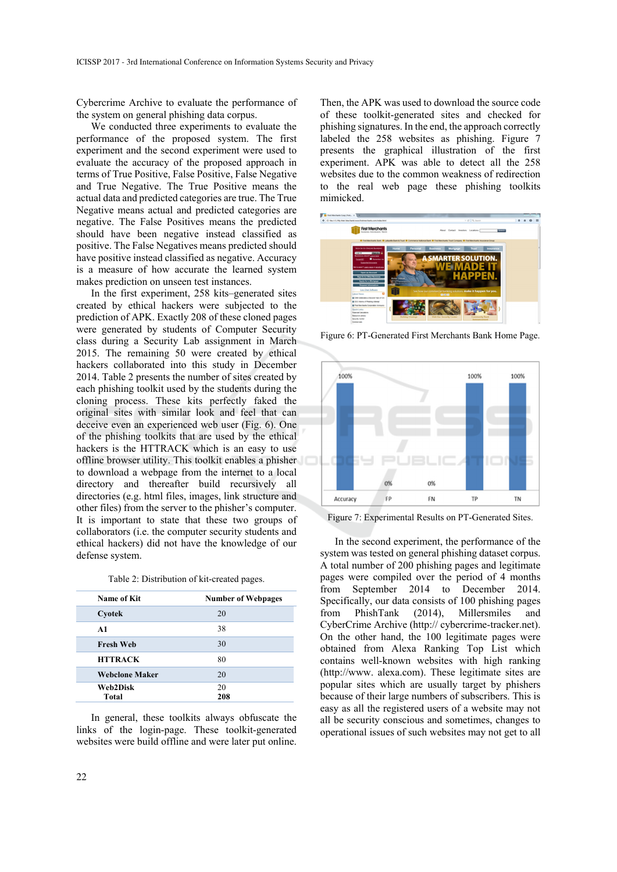Cybercrime Archive to evaluate the performance of the system on general phishing data corpus.

We conducted three experiments to evaluate the performance of the proposed system. The first experiment and the second experiment were used to evaluate the accuracy of the proposed approach in terms of True Positive, False Positive, False Negative and True Negative. The True Positive means the actual data and predicted categories are true. The True Negative means actual and predicted categories are negative. The False Positives means the predicted should have been negative instead classified as positive. The False Negatives means predicted should have positive instead classified as negative. Accuracy is a measure of how accurate the learned system makes prediction on unseen test instances.

In the first experiment, 258 kits–generated sites created by ethical hackers were subjected to the prediction of APK. Exactly 208 of these cloned pages were generated by students of Computer Security class during a Security Lab assignment in March 2015. The remaining 50 were created by ethical hackers collaborated into this study in December 2014. Table 2 presents the number of sites created by each phishing toolkit used by the students during the cloning process. These kits perfectly faked the original sites with similar look and feel that can deceive even an experienced web user (Fig. 6). One of the phishing toolkits that are used by the ethical hackers is the HTTRACK which is an easy to use offline browser utility. This toolkit enables a phisher to download a webpage from the internet to a local directory and thereafter build recursively all directories (e.g. html files, images, link structure and other files) from the server to the phisher's computer. It is important to state that these two groups of collaborators (i.e. the computer security students and ethical hackers) did not have the knowledge of our defense system.

| Name of Kit           | <b>Number of Webpages</b> |  |
|-----------------------|---------------------------|--|
| Cyotek                | 20                        |  |
| A1                    | 38                        |  |
| <b>Fresh Web</b>      | 30                        |  |
| <b>HTTRACK</b>        | 80                        |  |
| <b>Webclone Maker</b> | 20                        |  |
| Web2Disk              | 20                        |  |
| Total                 | 208                       |  |

In general, these toolkits always obfuscate the links of the login-page. These toolkit-generated websites were build offline and were later put online.

Then, the APK was used to download the source code of these toolkit-generated sites and checked for phishing signatures. In the end, the approach correctly labeled the 258 websites as phishing. Figure 7 presents the graphical illustration of the first experiment. APK was able to detect all the 258 websites due to the common weakness of redirection to the real web page these phishing toolkits mimicked.



Figure 6: PT-Generated First Merchants Bank Home Page.



Figure 7: Experimental Results on PT-Generated Sites.

In the second experiment, the performance of the system was tested on general phishing dataset corpus. A total number of 200 phishing pages and legitimate pages were compiled over the period of 4 months from September 2014 to December 2014. Specifically, our data consists of 100 phishing pages from PhishTank (2014), Millersmiles and CyberCrime Archive (http:// cybercrime-tracker.net). On the other hand, the 100 legitimate pages were obtained from Alexa Ranking Top List which contains well-known websites with high ranking (http://www. alexa.com). These legitimate sites are popular sites which are usually target by phishers because of their large numbers of subscribers. This is easy as all the registered users of a website may not all be security conscious and sometimes, changes to operational issues of such websites may not get to all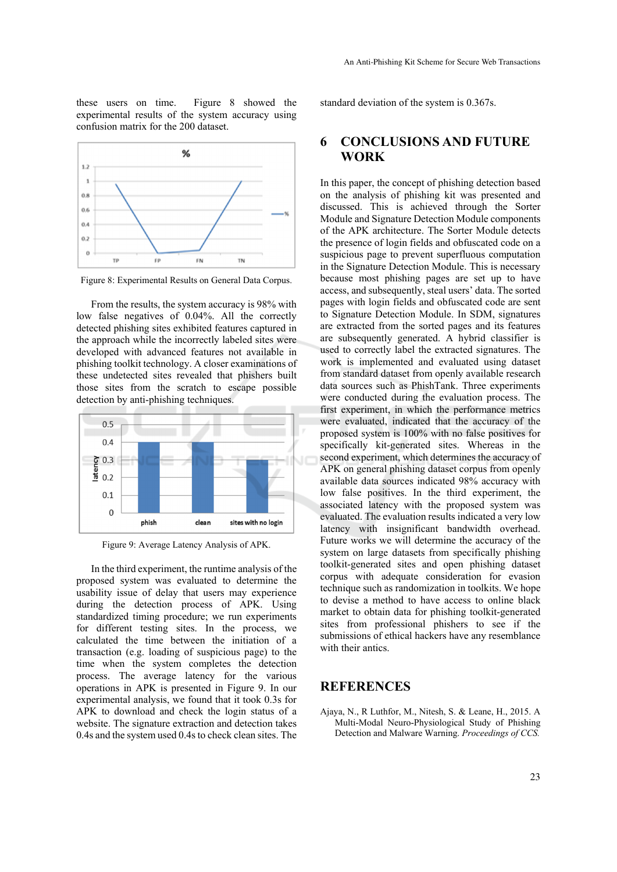these users on time. Figure 8 showed the experimental results of the system accuracy using confusion matrix for the 200 dataset.



Figure 8: Experimental Results on General Data Corpus.

From the results, the system accuracy is 98% with low false negatives of 0.04%. All the correctly detected phishing sites exhibited features captured in the approach while the incorrectly labeled sites were developed with advanced features not available in phishing toolkit technology. A closer examinations of these undetected sites revealed that phishers built those sites from the scratch to escape possible detection by anti-phishing techniques.



Figure 9: Average Latency Analysis of APK.

In the third experiment, the runtime analysis of the proposed system was evaluated to determine the usability issue of delay that users may experience during the detection process of APK. Using standardized timing procedure; we run experiments for different testing sites. In the process, we calculated the time between the initiation of a transaction (e.g. loading of suspicious page) to the time when the system completes the detection process. The average latency for the various operations in APK is presented in Figure 9. In our experimental analysis, we found that it took 0.3s for APK to download and check the login status of a website. The signature extraction and detection takes 0.4s and the system used 0.4s to check clean sites. The standard deviation of the system is 0.367s.

## **6 CONCLUSIONS AND FUTURE WORK**

In this paper, the concept of phishing detection based on the analysis of phishing kit was presented and discussed. This is achieved through the Sorter Module and Signature Detection Module components of the APK architecture. The Sorter Module detects the presence of login fields and obfuscated code on a suspicious page to prevent superfluous computation in the Signature Detection Module. This is necessary because most phishing pages are set up to have access, and subsequently, steal users' data. The sorted pages with login fields and obfuscated code are sent to Signature Detection Module. In SDM, signatures are extracted from the sorted pages and its features are subsequently generated. A hybrid classifier is used to correctly label the extracted signatures. The work is implemented and evaluated using dataset from standard dataset from openly available research data sources such as PhishTank. Three experiments were conducted during the evaluation process. The first experiment, in which the performance metrics were evaluated, indicated that the accuracy of the proposed system is 100% with no false positives for specifically kit-generated sites. Whereas in the second experiment, which determines the accuracy of APK on general phishing dataset corpus from openly available data sources indicated 98% accuracy with low false positives. In the third experiment, the associated latency with the proposed system was evaluated. The evaluation results indicated a very low latency with insignificant bandwidth overhead. Future works we will determine the accuracy of the system on large datasets from specifically phishing toolkit-generated sites and open phishing dataset corpus with adequate consideration for evasion technique such as randomization in toolkits. We hope to devise a method to have access to online black market to obtain data for phishing toolkit-generated sites from professional phishers to see if the submissions of ethical hackers have any resemblance with their antics.

## **REFERENCES**

Ajaya, N., R Luthfor, M., Nitesh, S. & Leane, H., 2015. A Multi-Modal Neuro-Physiological Study of Phishing Detection and Malware Warning. *Proceedings of CCS.*